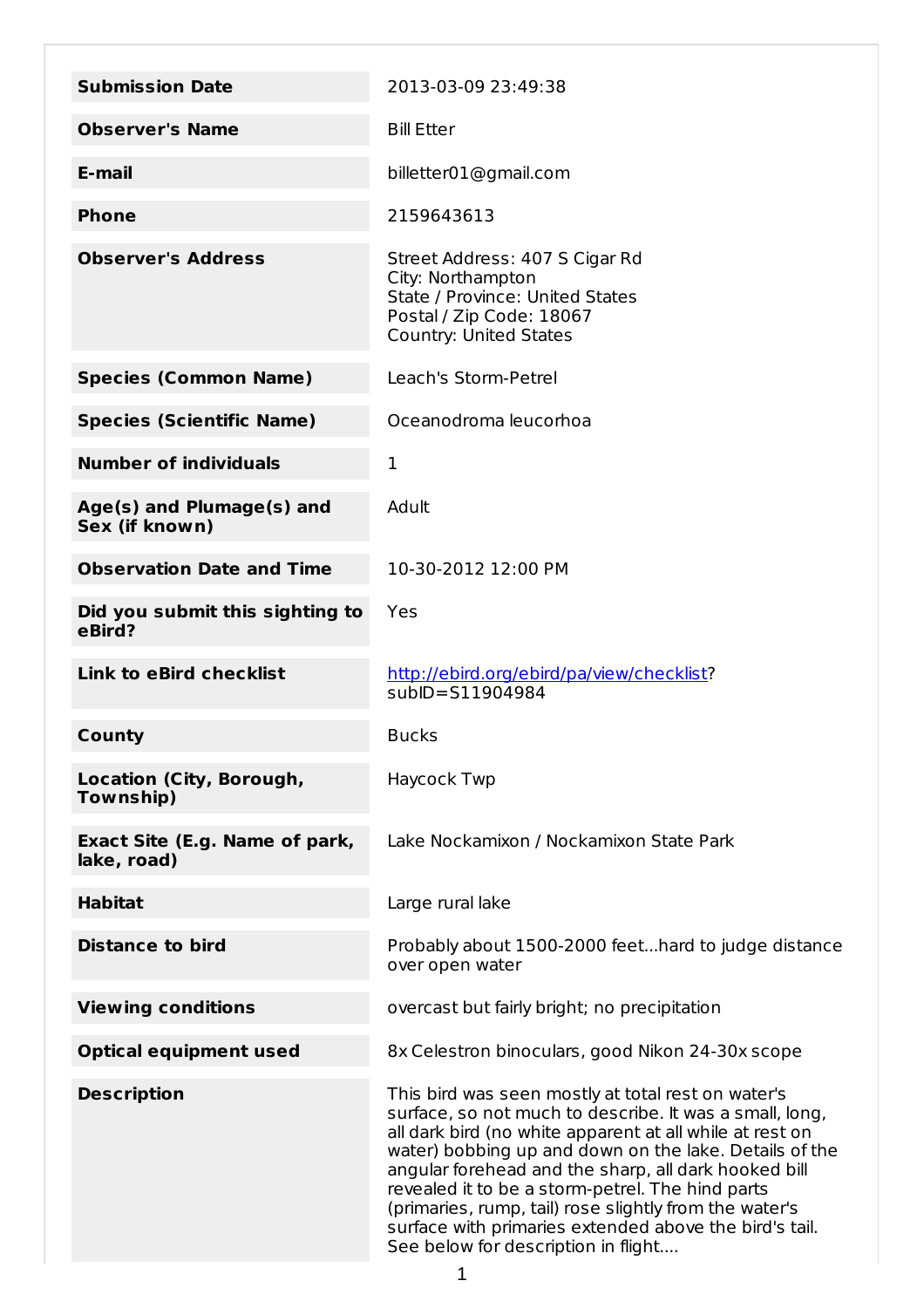| <b>Submission Date</b>                        | 2013-03-09 23:49:38                                                                                                                                                                                                                                                                                                                                                                                                                                                                                        |
|-----------------------------------------------|------------------------------------------------------------------------------------------------------------------------------------------------------------------------------------------------------------------------------------------------------------------------------------------------------------------------------------------------------------------------------------------------------------------------------------------------------------------------------------------------------------|
| <b>Observer's Name</b>                        | <b>Bill Etter</b>                                                                                                                                                                                                                                                                                                                                                                                                                                                                                          |
| E-mail                                        | billetter01@gmail.com                                                                                                                                                                                                                                                                                                                                                                                                                                                                                      |
| <b>Phone</b>                                  | 2159643613                                                                                                                                                                                                                                                                                                                                                                                                                                                                                                 |
| <b>Observer's Address</b>                     | Street Address: 407 S Cigar Rd<br>City: Northampton<br>State / Province: United States<br>Postal / Zip Code: 18067<br><b>Country: United States</b>                                                                                                                                                                                                                                                                                                                                                        |
| <b>Species (Common Name)</b>                  | Leach's Storm-Petrel                                                                                                                                                                                                                                                                                                                                                                                                                                                                                       |
| <b>Species (Scientific Name)</b>              | Oceanodroma leucorhoa                                                                                                                                                                                                                                                                                                                                                                                                                                                                                      |
| <b>Number of individuals</b>                  | 1                                                                                                                                                                                                                                                                                                                                                                                                                                                                                                          |
| Age(s) and Plumage(s) and<br>Sex (if known)   | Adult                                                                                                                                                                                                                                                                                                                                                                                                                                                                                                      |
| <b>Observation Date and Time</b>              | 10-30-2012 12:00 PM                                                                                                                                                                                                                                                                                                                                                                                                                                                                                        |
| Did you submit this sighting to<br>eBird?     | Yes                                                                                                                                                                                                                                                                                                                                                                                                                                                                                                        |
| <b>Link to eBird checklist</b>                | http://ebird.org/ebird/pa/view/checklist?<br>$subID = $11904984$                                                                                                                                                                                                                                                                                                                                                                                                                                           |
| County                                        | <b>Bucks</b>                                                                                                                                                                                                                                                                                                                                                                                                                                                                                               |
| Location (City, Borough,<br>Township)         | Haycock Twp                                                                                                                                                                                                                                                                                                                                                                                                                                                                                                |
| Exact Site (E.g. Name of park,<br>lake, road) | Lake Nockamixon / Nockamixon State Park                                                                                                                                                                                                                                                                                                                                                                                                                                                                    |
| <b>Habitat</b>                                | Large rural lake                                                                                                                                                                                                                                                                                                                                                                                                                                                                                           |
| <b>Distance to bird</b>                       | Probably about 1500-2000 feethard to judge distance<br>over open water                                                                                                                                                                                                                                                                                                                                                                                                                                     |
| <b>Viewing conditions</b>                     | overcast but fairly bright; no precipitation                                                                                                                                                                                                                                                                                                                                                                                                                                                               |
| <b>Optical equipment used</b>                 | 8x Celestron binoculars, good Nikon 24-30x scope                                                                                                                                                                                                                                                                                                                                                                                                                                                           |
| <b>Description</b>                            | This bird was seen mostly at total rest on water's<br>surface, so not much to describe. It was a small, long,<br>all dark bird (no white apparent at all while at rest on<br>water) bobbing up and down on the lake. Details of the<br>angular forehead and the sharp, all dark hooked bill<br>revealed it to be a storm-petrel. The hind parts<br>(primaries, rump, tail) rose slightly from the water's<br>surface with primaries extended above the bird's tail.<br>See below for description in flight |